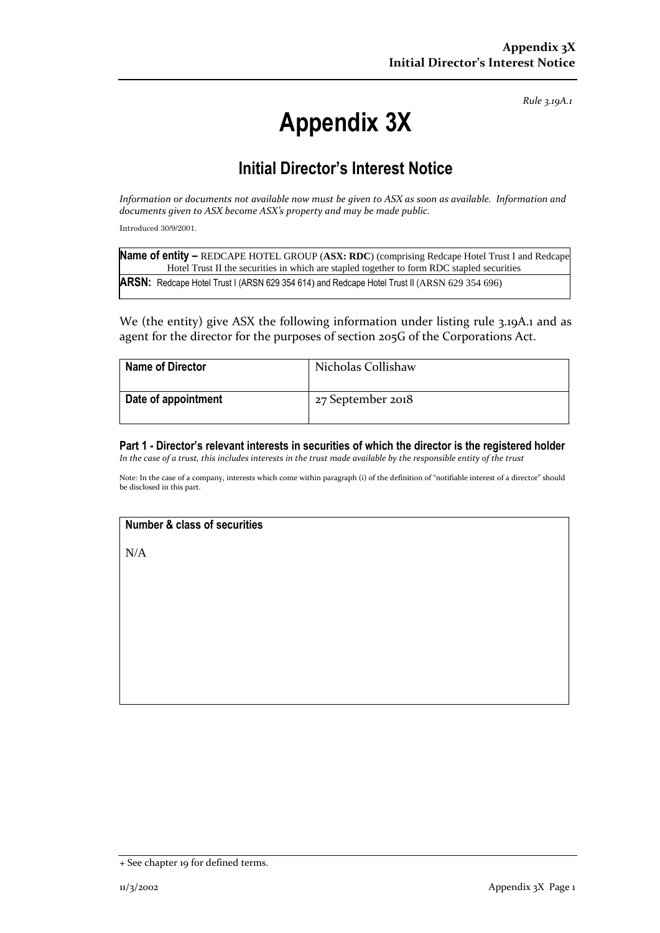*Rule 3.19A.1*

# **Appendix 3X**

## **Initial Director's Interest Notice**

*Information or documents not available now must be given to ASX as soon as available. Information and documents given to ASX become ASX's property and may be made public.*

Introduced 30/9/2001.

| Name of entity - REDCAPE HOTEL GROUP (ASX: RDC) (comprising Redcape Hotel Trust I and Redcape |
|-----------------------------------------------------------------------------------------------|
| Hotel Trust II the securities in which are stapled together to form RDC stapled securities    |
| ARSN: Redcape Hotel Trust I (ARSN 629 354 614) and Redcape Hotel Trust II (ARSN 629 354 696)  |

We (the entity) give ASX the following information under listing rule 3.19A.1 and as agent for the director for the purposes of section 205G of the Corporations Act.

| <b>Name of Director</b> | Nicholas Collishaw |
|-------------------------|--------------------|
| Date of appointment     | 27 September 2018  |

**Part 1 - Director's relevant interests in securities of which the director is the registered holder** *In the case of a trust, this includes interests in the trust made available by the responsible entity of the trust*

Note: In the case of a company, interests which come within paragraph (i) of the definition of "notifiable interest of a director" should be disclosed in this part.

#### **Number & class of securities**

N/A

<sup>+</sup> See chapter 19 for defined terms.